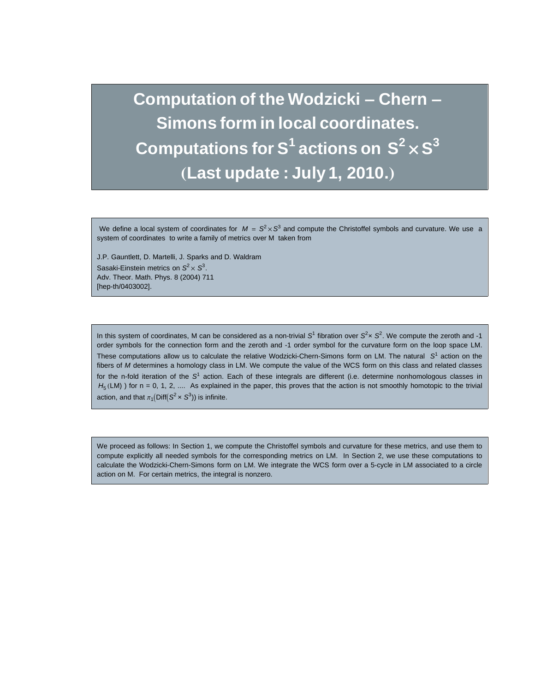**Computation of the Wodzicki - Chern - Simons form in local coordinates.** Computations for S<sup>1</sup> actions on  $\mathbf{S}^2 \times \mathbf{S}^3$ **(Last update : July 1, 2010.)** 

We define a local system of coordinates for  $M = S^2 \times S^3$  and compute the Christoffel symbols and curvature. We use a system of coordinates to write a family of metrics over M taken from

J.P. Gauntlett, D. Martelli, J. Sparks and D. Waldram Sasaki-Einstein metrics on  $S^2 \times S^3$ . Adv. Theor. Math. Phys. 8 (2004) 711 [hep-th/0403002].

In this system of coordinates, M can be considered as a non-trivial  $S^1$  fibration over  $S^2 \times S^2$ . We compute the zeroth and -1 order symbols for the connection form and the zeroth and -1 order symbol for the curvature form on the loop space LM. These computations allow us to calculate the relative Wodzicki-Chern-Simons form on LM. The natural  $S<sup>1</sup>$  action on the fibers of M determines a homology class in LM. We compute the value of the WCS form on this class and related classes for the n-fold iteration of the  $S^1$  action. Each of these integrals are different (i.e. determine nonhomologous classes in  $H_5$  (LM)) for n = 0, 1, 2, .... As explained in the paper, this proves that the action is not smoothly homotopic to the trivial action, and that  $\pi_1(\text{Diff}(S^2 \times S^3))$  is infinite.

We proceed as follows: In Section 1, we compute the Christoffel symbols and curvature for these metrics, and use them to compute explicitly all needed symbols for the corresponding metrics on LM. In Section 2, we use these computations to calculate the Wodzicki-Chern-Simons form on LM. We integrate the WCS form over a 5-cycle in LM associated to a circle action on M. For certain metrics, the integral is nonzero.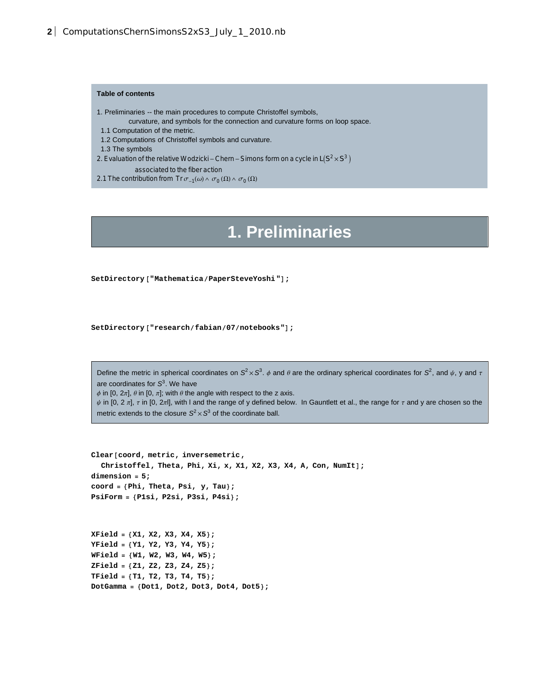## **Table of contents**

- 1. Preliminaries -- the main procedures to compute Christoffel symbols,
	- curvature, and symbols for the connection and curvature forms on loop space.
- 1.1 Computation of the metric.
- 1.2 Computations of Christoffel symbols and curvature.
- 1.3 The symbols
- 2. Evaluation of the relative Wodzicki Chern Simons form on a cycle in  $L(S^2 \times S^3)$
- associated to the fiber action
- 2.1 The contribution from Tr  $\sigma_{-1}(\omega) \wedge \sigma_0(\Omega) \wedge \sigma_0(\Omega)$

## **1. Preliminaries**

**SetDirectory@"MathematicaPaperSteveYoshi"D;**

```
SetDirectory@"researchfabian07notebooks"D;
```
Define the metric in spherical coordinates on  $S^2 \times S^3$ .  $\phi$  and  $\theta$  are the ordinary spherical coordinates for  $S^2$ , and  $\psi$ , y and  $\tau$ are coordinates for  $\mathcal{S}^3$ . We have

φ in [0, 2π],  $θ$  in [0, π]; with  $θ$  the angle with respect to the z axis.

 $\psi$  in [0, 2  $\pi$ ],  $\tau$  in [0, 2 $\pi$ ], with I and the range of y defined below. In Gauntlett et al., the range for  $\tau$  and y are chosen so the metric extends to the closure  $S^2 \times S^3$  of the coordinate ball.

```
Clear@coord, metric, inversemetric,
  Christoffel, theta, Phi, Xi, x, X1, X2, X3, X4, A, Con, NumIt];dimension = 5;
coord = 8Phi, Theta, Psi, y, Tau<;
PsiForm = 8P1si, P2si, P3si, P4si<;
XField = 8X1, X2, X3, X4, X5<;
```
**YField = 8Y1, Y2, Y3, Y4, Y5<; WField = 8W1, W2, W3, W4, W5<; ZField = 8Z1, Z2, Z3, Z4, Z5<; TField = 8T1, T2, T3, T4, T5<; DotGamma = 8Dot1, Dot2, Dot3, Dot4, Dot5<;**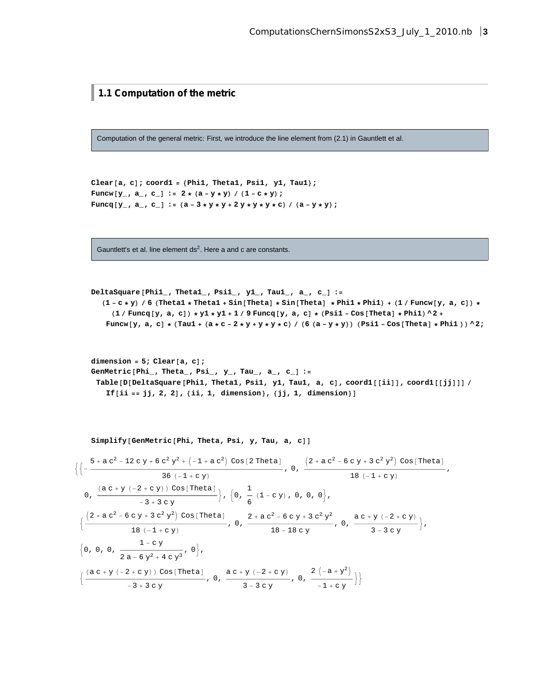**1.1 Computation of the metric**

Computation of the general metric: First, we introduce the line element from (2.1) in Gauntlett et al.

**Clear@a, cD; coord1 = 8Phi1, Theta1, Psi1, y1, Tau1<;** Funcw  $[y_$ , a<sub>-</sub>, c<sub>-</sub>] := 2 \* (a - y \* y) / (1 - c \* y) ; Funcq  $[y_$ , a<sub>-</sub>, c<sub>-</sub>] := (a - 3 \* y \* y + 2 y \* y \* y \* c) / (a - y \* y) ;

Gauntlett's et al. line element  $ds<sup>2</sup>$ . Here a and c are constants.

```
DeltaSquare@Phi1_, Theta1_, Psi1_, y1_, Tau1_, a_, c_D :=
```
 $(1 - c * y)$  / 6 (Thetal \* Thetal + Sin[Theta] \* Sin[Theta] \* Phil \* Phil) + (1 / Funcw[y, a, c]) \*  $(1 / \text{Func}[y, a, c]) * y1 * y1 + 1 / 9 \text{Func}[y, a, c] * (Psi - Cost[Theta] * Phil) * 2 +$ Funcw  $[y, a, c] * (Taul + (a * c - 2 * y + y * y * c) / (6 (a - y * y)) (Psi - Cos[Theta] * Phil)) ^ 2;$ 

 $dimension = 5$ ;  $Clear[a, c]$ ; **GenMetric@Phi\_, Theta\_, Psi\_, y\_, Tau\_, a\_, c\_D :=** Table[D[DeltaSquare[Phil, Thetal, Psil, yl, Taul, a, c], coordl[[ii]], coordl[[jj]]] / **If[ii** == **jj, 2, 2**], {ii, **1**, **dimension**}, {**jj, 1**, **dimension**}]

 $Simplify$ <sup>[</sup>GenMetric<sup>[Phi</sup>, Theta, Psi, y, Tau, a, c]]

$$
\left\{\left(-\frac{5+a c^2-12 c y+6 c^2 y^2+\left(-1+a c^2\right) \cos [2 \text{ theta}]}{36 (-1+c y)}, 0, \frac{(2+a c^2-6 c y+3 c^2 y^2) \cos [2 \text{ theta}]}{18 (-1+c y)},\right.\right\}
$$
\n
$$
0, \frac{(a c+y (-2+c y)) \cos [2 \text{ theta}]}{-3+3 c y}\right\},\left\{0, \frac{1}{6} (1-c y), 0, 0, 0\right\},\left\{\frac{(2+a c^2-6 c y+3 c^2 y^2) \cos [2 \text{ theta}]}{18 (-1+c y)}, 0, \frac{2+a c^2-6 c y+3 c^2 y^2}{18-18 c y}, 0, \frac{a c+y (-2+c y)}{3-3 c y}\right\},\left\{0, 0, 0, \frac{1-c y}{2a-6 y^2+4 c y^3}, 0\right\},\left\{\frac{(a c+y (-2+c y)) \cos [2 \text{ theta}]}{-3+3 c y}, 0, \frac{a c+y (-2+c y)}{3-3 c y}, 0, \frac{2 (-a+y^2)}{-1+c y}\right\}\right\}
$$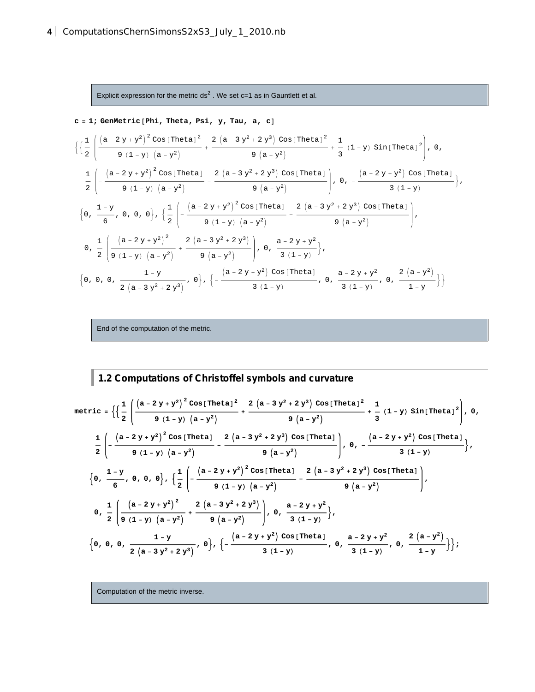Explicit expression for the metric ds<sup>2</sup>. We set c=1 as in Gauntlett et al.

c = 1; GenMetric [Phi, Theta, Psi, y, Tau, a, c]  
\n
$$
\left\{\left\{\frac{1}{2}\left(\frac{(a-2y+y^2)^2\cos[\text{Theta}]}{9(1-y)(a-y^2)} + \frac{2(a-3y^2+2y^3)\cos[\text{Theta}]}{9(a-y^2)} + \frac{1}{3}(1-y)\sin[\text{Theta}]}{9(1-y)(a-y^2)}\right), 0, \frac{1}{2}\left(-\frac{(a-2y+y^2)^2\cos[\text{Theta}]}{9(1-y)(a-y^2)} - \frac{2(a-3y^2+2y^3)\cos[\text{Theta}]}{9(a-y^2)}\right), 0, -\frac{(a-2y+y^2)\cos[\text{Theta}]}{3(1-y)}\right\},
$$
\n
$$
\left\{0, \frac{1-y}{6}, 0, 0, 0\right\}, \left\{\frac{1}{2}\left(-\frac{(a-2y+y^2)^2\cos[\text{Theta}]}{9(1-y)(a-y^2)} - \frac{2(a-3y^2+2y^3)\cos[\text{Theta}]}{9(a-y^2)}\right)\right\},
$$
\n
$$
0, \frac{1}{2}\left(\frac{(a-2y+y^2)^2}{9(1-y)(a-y^2)} + \frac{2(a-3y^2+2y^3)}{9(a-y^2)}\right), 0, \frac{a-2y+y^2}{3(1-y)}\right\},
$$
\n
$$
\left\{0, 0, 0, \frac{1-y}{2(a-3y^2+2y^3)}, 0\right\}, \left\{-\frac{(a-2y+y^2)\cos[\text{Theta}]}{3(1-y)}, 0, \frac{a-2y+y^2}{3(1-y)}, 0, \frac{2(a-y^2)}{1-y}\right\}
$$

End of the computation of the metric.

**1.2 Computations of Christoffel symbols and curvature**

metric = 
$$
\left\{\left\{\frac{1}{2}\left(\frac{(a-2y+y^2)^2\cos[\text{Theta1}^2}{9(1-y)(a-y^2)} + \frac{2(a-3y^2+2y^3)\cos[\text{Theta1}^2}{9(a-y^2)} + \frac{1}{3}(1-y)\sin[\text{Theta1}^2)\right), 0, \frac{1}{2}\left(-\frac{(a-2y+y^2)^2\cos[\text{Theta1}^2}{9(1-y)(a-y^2)} - \frac{2(a-3y^2+2y^3)\cos[\text{Theta1}^2}{9(a-y^2)}\right), 0, -\frac{(a-2y+y^2)\cos[\text{Theta1}^2}{3(1-y)}\right\}, \frac{1}{2}\left(-\frac{(a-2y+y^2)^2\cos[\text{Theta1}^2)}{9(1-y)(a-y^2)} - \frac{2(a-3y^2+2y^3)\cos[\text{Theta1}^2}{9(a-y^2)}\right), \frac{1}{2}\left(-\frac{(a-2y+y^2)^2}{9(1-y)(a-y^2)} - \frac{2(a-3y^2+2y^3)\cos[\text{Theta1}^2}{9(a-y^2)}\right), \frac{1}{2}\left(\frac{(a-2y+y^2)^2}{9(a-y^2)} + \frac{2(a-3y^2+2y^3)}{9(a-y^2)}\right), 0, \frac{a-2y+y^2}{3(1-y)}\right\},
$$
  
6, 0, 0, 0,  $\frac{1-y}{2(a-3y^2+2y^3)}, 0\right\}, \left\{-\frac{(a-2y+y^2)\cos[\text{Theta1}^2]}{3(1-y)}, 0, \frac{a-2y+y^2}{3(1-y)}, 0, \frac{2(a-y^2)}{1-y}\right\};$ 

Computation of the metric inverse.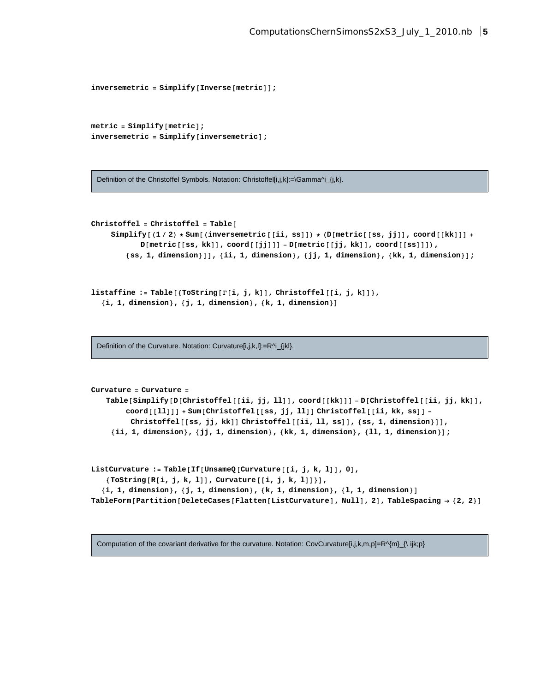```
\frac{1}{2}j h<br>
inversemetric = \text{Simplify} [Inverse [metric]];
```

```
metric = Simplify[metric];
inversemetric = Simplify[inversemetric];
```
Definition of the Christoffel Symbols. Notation: Christoffel[i,j,k]:=\Gamma^i\_{j,k}.

```
Christoffel = Christoffel = TableSimplify [(1 / 2) * Sum[(inversemetric[[i, ss]]) * (D[metric[[ss, jj]], coord[[kk]]] +D[metric[[ss, kk]], cool([jj]]] - D[metric[[jj, kk]], coord[[ss]]],{ss, 1, dimension}]], {ii, 1, dimension}, {jj, 1, dimension}, {kk, 1, dimension}];
```

```
\text{listaffine} := \text{Table}[\{\text{ToString}[\Gamma[i, j, k]]\}, \text{Christoffel}[[i, j, k]]\},8i, 1, dimension<, 8j, 1, dimension<, 8k, 1, dimension<D
```
Definition of the Curvature. Notation: Curvature[i,j,k,l]:=R^i\_{jkl}.

```
Curvature = Curvature =
   Table[Simplify[D[Christoffel[[ii, jj, ll]], coord[[kk]]] - D[Christoffel[[ii, jj, kk]],
        coord@@llDDD + Sum@Christoffel@@ss, jj, llDD Christoffel@@ii, kk, ssDD -
         Christoffel[[ss,jj,kk]]Christoffel<sup>[[ii, 11, ss]], {ss, 1, dimension}]],</sup>
    {ii, 1, dimension}, {jj, 1, dimension}, {kk, 1, dimension}, {11, 1, dimension}];
```

```
ListCurvature := Table[If[UnsameQ[Curvature][i,j,k,1]],0],8ToString@R@i, j, k, lDD, Curvature@@i, j, k, lDD<D,
  \{i, 1, dimension\}, \{j, 1, dimension\}, \{k, 1, dimension\}, \{1, 1, dimension\}]
TableForm [Partition [DeleteCases [Flatten [ListCurvature], Null], 2], TableSpacing \rightarrow {2, 2}]
```
Computation of the covariant derivative for the curvature. Notation: CovCurvature[i,j,k,m,p]=R^{m}\_{\ ijk;p}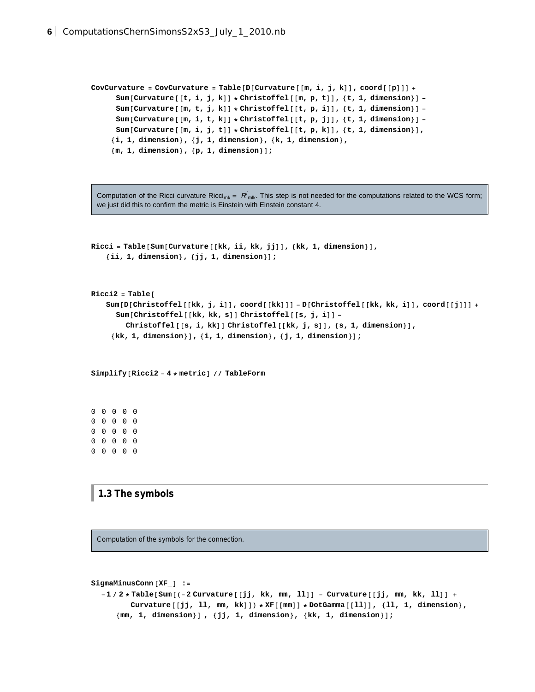```
CovCurvature = CovCurvature = Table[D[Curvature][m, i, j, k]), coord[[p]] +Sum [Curvature [[t, i, j, k]] * Christoffel [[m, p, t]], {t, 1, dimension}] -
      Sum [Curvature [ [m, t, j, k] ] * Christoffel [ [t, p, i] ], \{t, 1, dimension \} ] -
      Sum [Curvature [ [m, i, t, k] ] * Christoffel [ [t, p, j] ], \{t, 1, dimension \} ] -
      Sum[Curvature[[m, i, j, t]] * Christoffel[[t, p, k]], {t, 1, dimension}],
     8i, 1, dimension<, 8j, 1, dimension<, 8k, 1, dimension<,
     {m, 1, \text{dimension}, \{p, 1, \text{dimension}\}}
```
Computation of the Ricci curvature Ricci<sub>mk</sub> =  $R'_{mlk}$ . This step is not needed for the computations related to the WCS form; we just did this to confirm the metric is Einstein with Einstein constant 4.

```
Ricci = Table [Sum[Curvature[[kk, i.i, kk, jj]], {kk, 1, dimension}].8ii, 1, dimension<, 8jj, 1, dimension<D;
Ricci2 = TableSum[D[Christoffel[[kk, j, i]], coord([kk]]] - D[Christoffel [[kk, kk, i]], coord[[j]]] +Sum@Christoffel@@kk, kk, sDD Christoffel@@s, j, iDD -
        Christoffel[[s, i, kk]] Christoffel[[kk, j, s]], [s, 1, dimension]],
     \{kk, 1, \text{dimension}\}, \{i, 1, \text{dimension}\}, \{j, 1, \text{dimension}\}\}
```
**Simplify@Ricci2 - 4 \* metricD TableForm**

0 0 0 0 0 0 0 0 0 0 0 0 0 0 0 0 0 0 0 0 0 0 0 0 0

**1.3 The symbols**

Computation of the symbols for the connection.

```
SigmaMinusConn@XF_D :=
  -1/2*Table[Sum[(-2 Curvature[[jj, kk, mm, 11]] - Curvature[[jj, mm, kk, 11]] +
         Curvature [[jj, ll, mm, kk]]) * XF [[mm]] * DotGamma [[ll]], {ll, 1, dimension},
     {\rm mm, 1, dimension}, {jj, 1, dimension}, {kk, 1, dimension}};
```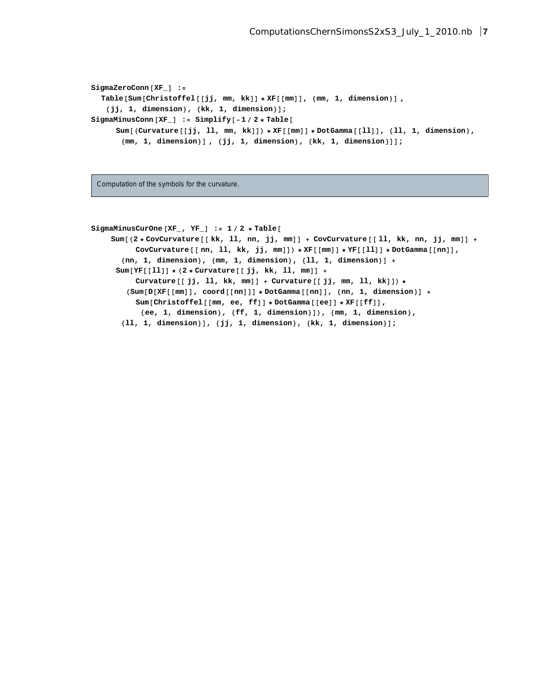```
SigmaZeroConn@XF_D :=
  Table@Sum@Christoffel@@jj, mm, kkDD * XF@@mmDD, 8mm, 1, dimension<D ,
   {jj, 1, dimension}, {kk, 1, dimension}Sign="12">SigmaMinusConn [XF_ ] := Simplify [-1 / 2 * Table [Sum [(Curvature [[jj, 11, mm, kk]]) * XF [[mm]] * DotGamma [[11]], {11, 1, dimension},
       {\rm mm, 1, dimension}, {jj, 1, dimension}, {kk, 1, dimension}]];
```
Computation of the symbols for the curvature.

```
SigmaMinusCurOne@XF_, YF_D := 1  2 * Table@
    Sum [(2 * \text{CovCurvature}[[kk, 11, nn, jj, mm]] + \text{CovCurvature}[[11, kk, nn, jj, mm]] +CovCurvature [[nn, 11, kk, jj, mm]]) * XF [[mm]] * YF [[11]] * DotGamma [[nn]],
       {mn, 1, dimension}, {mm, 1, dimension}, {11, 1, dimension} +Sum[YF[[11]] * (2 * Curve = 0; j, kk, 11, mm]] +Curvature [[jj, ll, kk, mm]] + Curvature [[jj, mm, ll, kk]]) *
        (Sum[D[XF[[mm]] , coord[[nn]]] * DotGamma[[nn]] , {nn, 1, dimension}] +Sum[Christoffel[[mm, ee, ff]] * DotGamma[[ee]] * NF[[ff]],8ee, 1, dimension<, 8ff, 1, dimension<DL, 8mm, 1, dimension<,
       {11, 1, 1, 1} dimension}], {j, 1, 1, 1} dimension}, {k, 1, 1, 1} dimension}];
```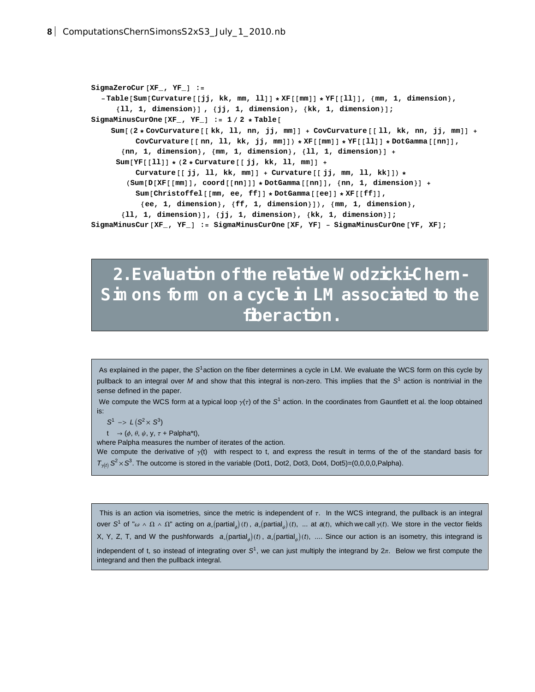```
SigmaZeroCur@XF_, YF_D :=
  -Table[Sum[Curvature[[jj, kk, mm, 11]] * XF[[mm]] * YF[[11]], {mm, 1, dimension},
     {11, 1, 1, 1} dimension} ], {jj, 1, 1, 1} dimension } [;
SigmaMinusCurOne@XF_, YF_D := 1  2 * Table@
    Sum[(2 * CovCurvature[[kk, 11, nn, jj, mm]] + CovCurvature[[11, kk, nn, jj, mm]] +]CovCurvature [[nn, ll, kk, jj, mm]]) * XF [[mm]] * YF [[11]] * DotGamma [[nn]],
       \{nn, 1, \dimension\}, \{mm, 1, \dimension\}, \{11, 1, \dimension\} +
     Sum[YF[[11]] * (2 * Curve[17]) + (2 * 2 * 2 * 1)Curvature [[jj, ll, kk, mm]] + Curvature [[jj, mm, ll, kk]]) *
        (Sum[D[XF[[mm]], coord[[nn]]] * DotGamma[[nn]], [nn], [nn, 1, dimension]] +Sum[Christoffel [mm, ee, ff]] * DotGamma[ee]] * NF[ff]],
           {e^{\pm i}, 1, dimension}, {f^{\pm i}, 1, dimension}, {f^{\pm i}}{11, 1, 1, 1} dimension}], {jj, 1, dimension}, {kk, 1, dimension}];
SigmaMinusCur@XF_, YF_D := SigmaMinusCurOne@XF, YFD - SigmaMinusCurOne@YF, XFD;
```
## **2. Evaluation of the relative Wodzicki-Chern-Simons form on a cycle in LM associated to the fiber action.**

As explained in the paper, the S<sup>1</sup> action on the fiber determines a cycle in LM. We evaluate the WCS form on this cycle by pullback to an integral over M and show that this integral is non-zero. This implies that the  $S^1$  action is nontrivial in the sense defined in the paper.

We compute the WCS form at a typical loop  $\gamma(\tau)$  of the S<sup>1</sup> action. In the coordinates from Gauntlett et al. the loop obtained is:

 $S^1 \to L(S^2 \times S^3)$ 

t  $\rightarrow (\phi, \theta, \psi, \gamma, \tau + \text{Palpha}^*t),$ 

where Palpha measures the number of iterates of the action.

We compute the derivative of  $\gamma(t)$  with respect to t, and express the result in terms of the of the standard basis for  $T_{\gamma(t)} S^2 \times S^3$ . The outcome is stored in the variable (Dot1, Dot2, Dot3, Dot4, Dot5)=(0,0,0,0,Palpha).

This is an action via isometries, since the metric is independent of  $\tau$ . In the WCS integrand, the pullback is an integral over S<sup>1</sup> of " $\omega \, \wedge \, \Omega \, \wedge \, \Omega$ " acting on  $a_*(\text{partial}_\phi)(t)$ ,  $a_*(\text{partial}_\psi)(t)$ , ... at  $a(t)$ , which we call  $\gamma(t)$ . We store in the vector fields X, Y, Z, T, and W the pushforwards  $a_*(\text{partial}_\phi)(t)$ ,  $a_*(\text{partial}_\psi)(t)$ , .... Since our action is an isometry, this integrand is independent of t, so instead of integrating over S<sup>1</sup>, we can just multiply the integrand by  $2\pi$ . Below we first compute the integrand and then the pullback integral.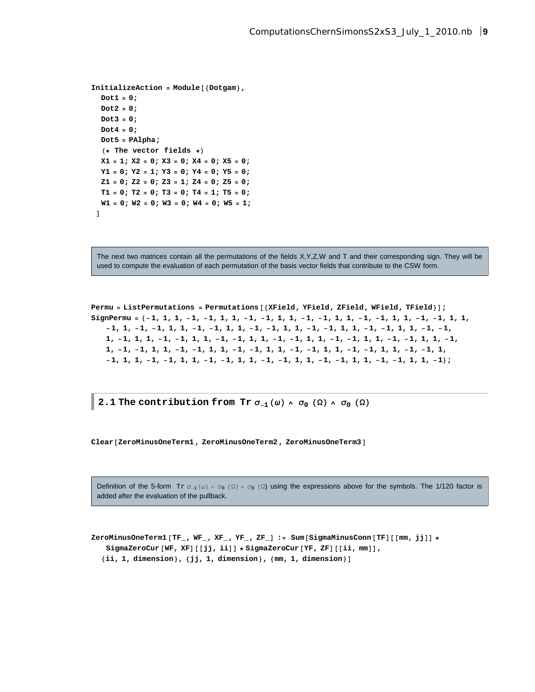```
InitializeAction = Module[{Dotgan}],Dot1 = 0;
  Dot2 = 0;
  Dot3 = 0;
  Dot4 = 0;
  Dot5 = PAlpha;
  (* The vector fields *X1 = 1; X2 = 0; X3 = 0; X4 = 0; X5 = 0;
  Y1 = 0; Y2 = 1; Y3 = 0; Y4 = 0; Y5 = 0;
  Z1 = 0; Z2 = 0; Z3 = 1; Z4 = 0; Z5 = 0;
  T1 = 0; T2 = 0; T3 = 0; T4 = 1; T5 = 0;
  W1 = 0; W2 = 0; W3 = 0; W4 = 0; W5 = 1;
 D
```
The next two matrices contain all the permutations of the fields X,Y,Z,W and T and their corresponding sign. They will be used to compute the evaluation of each permutation of the basis vector fields that contribute to the CSW form.

```
Permu = ListPermutations = Permutations [{XField, YField, ZField, WField, TField}];
SignPermu = \{-1, 1, 1, -1, -1, 1, 1, -1, -1, 1, 1, -1, -1, 1, 1, -1, -1, 1, 1, -1, -1, 1, 1,-1, 1, -1, -1, 1, 1, -1, -1, 1, 1, -1, -1, 1, 1, -1, -1, 1, 1, -1, -1, -1, 1, -1, -1,
   1, -1, 1, 1, -1, -1, 1, 1, -1, -1, 1, 1, -1, -1, 1, 1, -1, -1, 1, 1, -1, -1, 1, 1, -1,
   1, -1, -1, 1, 1, -1, -1, 1, 1, -1, -1, 1, 1, -1, -1, 1, 1, -1, -1, 1, 1, -1, -1, 1,
   -1, 1, 1, -1, -1, 1, 1, -1, -1, 1, 1, -1, -1, 1, 1, -1, -1, 1, 1, -1, -1, 1, 1, -1;
```
**2.1 The contribution from**  $Tr \sigma_{-1}(\omega) \wedge \sigma_0(\Omega) \wedge \sigma_0(\Omega)$ 

**Clear@ZeroMinusOneTerm1, ZeroMinusOneTerm2, ZeroMinusOneTerm3D**

Definition of the 5-form  $Tr \sigma_{-1}(\omega) \wedge \sigma_0 (\Omega) \wedge \sigma_0 (\Omega)$  using the expressions above for the symbols. The 1/120 factor is added after the evaluation of the pullback.

**ZeroMinusOneTerm1@TF\_, WF\_, XF\_, YF\_, ZF\_D := Sum@SigmaMinusConn@TFD@@mm, jjDD \* SigmaZeroCur@WF, XFD@@jj, iiDD \* SigmaZeroCur@YF, ZFD@@ii, mmDD, 8ii, 1, dimension<, 8jj, 1, dimension<, 8mm, 1, dimension<D**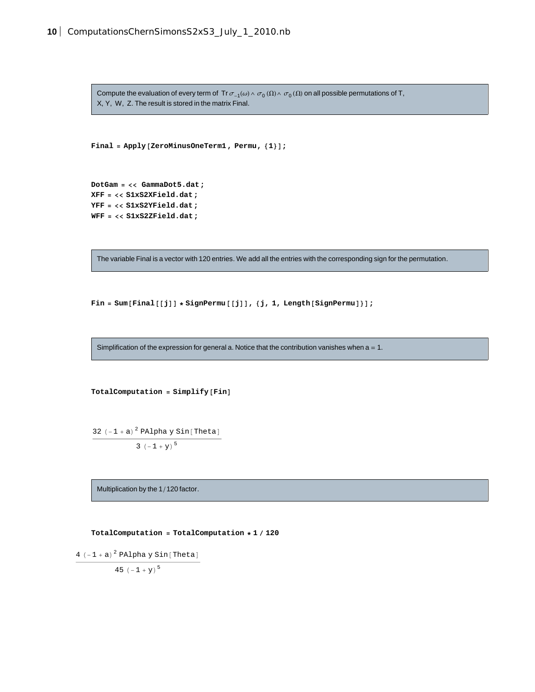Compute the evaluation of every term of Tr  $\sigma_{-1}(\omega)\wedge\sigma_{0}(\Omega)\wedge\sigma_{0}(\Omega)$  on all possible permutations of T, X, Y, W, Z. The result is stored in the matrix Final.

```
Final = \text{Apply} [ZeroMinusOneTerm1, Permu, {1}];
```

```
DotGam = << GammaDot5.dat;
XFF = << S1xS2XField.dat;
YFF = << S1xS2YField.dat;
WFF = << S1xS2ZField.dat;
```
The variable Final is a vector with 120 entries. We add all the entries with the corresponding sign for the permutation.

 $\text{Fin} = \text{Sum}[\text{Final}[[j]] * \text{SignPerm}[[j]], {j, 1, \text{Length}[\text{SignPerm}]]}]$ 

Simplification of the expression for general a. Notice that the contribution vanishes when  $a = 1$ .

 $TotalComputation = Simplify$  $[Fin]$ 

32  $(-1 + a)^2$  PAlpha y Sin [Theta]

3  $(-1 + y)^5$ 

Multiplication by the 1/120 factor.

**TotalComputation = TotalComputation \* 1 120**

```
4 (-1 + a)^2 PAlpha y Sin [Theta]
          45 (-1 + y)^5
```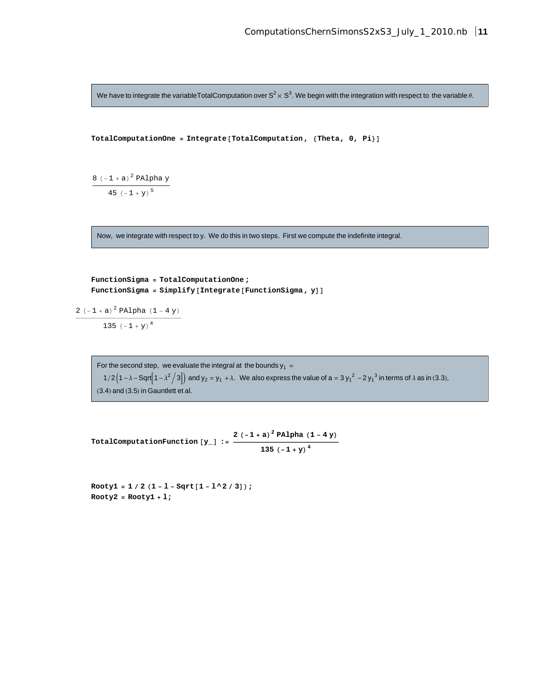We have to integrate the variableTotalComputation over  $S^2\times S^3.$  We begin with the integration with respect to the variable  $\theta.$ 

```
TotalComputationOne = Integrate [TotalComputation, {Theta, 0, Pi}]
```

```
8 (-1 + a)^2 PAlpha y
    45 (-1 + y)^5
```
Now, we integrate with respect to y. We do this in two steps. First we compute the indefinite integral.

```
FunctionSigma = TotalComputationOne ;
FunctionSigma = Simplify[Integrate[FunctionSigma, y]]
```

```
2 (-1 + a)^2 PAlpha (1 - 4y)
```
135  $(-1 + y)^4$ 

For the second step, we evaluate the integral at the bounds  $y_1 =$ 1/2  $(1 - \lambda -$  Sqrt $(1 - \lambda^2 / 3))$  and  $y_2 = y_1 + \lambda$ . We also express the value of a = 3 y<sub>1</sub><sup>2</sup> - 2 y<sub>1</sub><sup>3</sup> in terms of λ as in (3.3),  $(3.4)$  and  $(3.5)$  in Gauntlett et al.

**TotalComputationFunction**  $[\mathbf{y}_{-}]$  :=  $\frac{2(-1+a)^2 \text{ PAlpha (1-4 y)}}{125 \left(4 \times 10^{-14} \text{ F/m}^4\right)}$ **135**  $(-1 + y)^4$ 

 $Rooty1 = 1 / 2 (1 - 1 - sqrt[1 - 1^2 / 3]);$ **Rooty2 = Rooty1 + l;**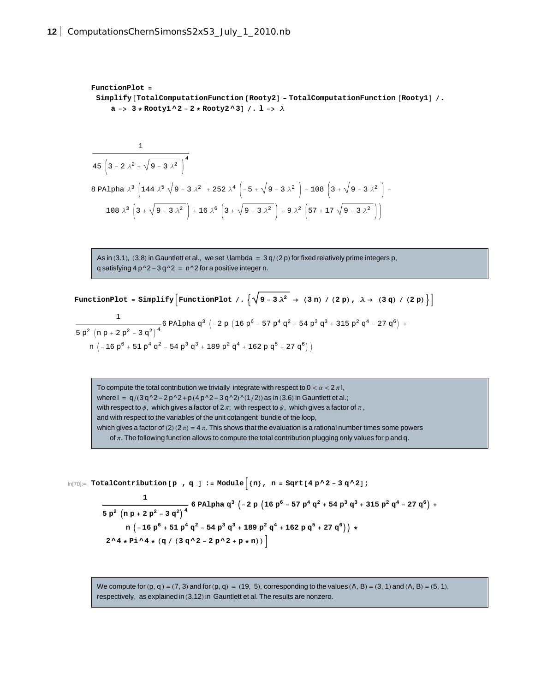```
FunctionPlot =
 Simplify@TotalComputationFunction @Rooty2D - TotalComputationFunction @Rooty1D .
    a -> 3 * Rooty1 ^2 - 2 * Rooty2 ^3D . l -> Λ
```

$$
\frac{1}{45\left(3-2\lambda^2+\sqrt{9-3\lambda^2}\right)^4}
$$
  
8 PAlpha  $\lambda^3$   $\left(144\lambda^5\sqrt{9-3\lambda^2}+252\lambda^4\left(-5+\sqrt{9-3\lambda^2}\right)-108\left(3+\sqrt{9-3\lambda^2}\right)-108\lambda^3\left(3+\sqrt{9-3\lambda^2}\right)+16\lambda^6\left(3+\sqrt{9-3\lambda^2}\right)+9\lambda^2\left(57+17\sqrt{9-3\lambda^2}\right)\right)$ 

As in (3.1), (3.8) in Gauntlett et al., we set \ lambda =  $3 q/(2 p)$  for fixed relatively prime integers p, q satisfying  $4 p^2 - 3 q^2 = n^2$  for a positive integer n.

FunctionPlot = Simplify [FunctionPlot /. 
$$
\{\sqrt{9-3\lambda^2} \rightarrow (3\text{ n}) / (2\text{ p}), \lambda \rightarrow (3\text{ q}) / (2\text{ p})\}
$$
]

$$
\frac{1}{5 p^2 \left(n p + 2 p^2 - 3 q^2\right)^4} 6 \text{ Palpha } q^3 \left(-2 p \left(16 p^6 - 57 p^4 q^2 + 54 p^3 q^3 + 315 p^2 q^4 - 27 q^6\right) + \right. \\ \left. n \left(-16 p^6 + 51 p^4 q^2 - 54 p^3 q^3 + 189 p^2 q^4 + 162 p q^5 + 27 q^6\right)\right)
$$

To compute the total contribution we trivially integrate with respect to  $0 < \alpha < 2\pi$  l, where  $I = q/(3 q^2-2 p^2+p (4 p^2-3 q^2)/(1/2))$  as in (3.6) in Gauntlett et al.; with respect to  $\phi$ , which gives a factor of 2  $\pi$ ; with respect to  $\psi$ , which gives a factor of  $\pi$ , and with respect to the variables of the unit cotangent bundle of the loop, which gives a factor of (2) (2  $\pi$ ) = 4  $\pi$ . This shows that the evaluation is a rational number times some powers of  $\pi$ . The following function allows to compute the total contribution plugging only values for p and q.

 $\ln[70]$ := TotalContribution  $[p_ , q_ ]$  := Module  $[n]$ , n = Sqrt  $[4 p^2 - 3 q^2 ]$ ;

$$
\frac{1}{5 p^2 \left( n p + 2 p^2 - 3 q^2 \right)^4} 6 \text{ Palpha } q^3 \left( -2 p \left( 16 p^6 - 57 p^4 q^2 + 54 p^3 q^3 + 315 p^2 q^4 - 27 q^6 \right) + n \left( -16 p^6 + 51 p^4 q^2 - 54 p^3 q^3 + 189 p^2 q^4 + 162 p q^5 + 27 q^6 \right) \right) * 2^4 * Pi^4 * (q / (3 q^2 - 2 p^2 + p * n))
$$

We compute for  $(p, q) = (7, 3)$  and for  $(p, q) = (19, 5)$ , corresponding to the values  $(A, B) = (3, 1)$  and  $(A, B) = (5, 1)$ , respectively, as explained in (3.12) in Gauntlett et al. The results are nonzero.